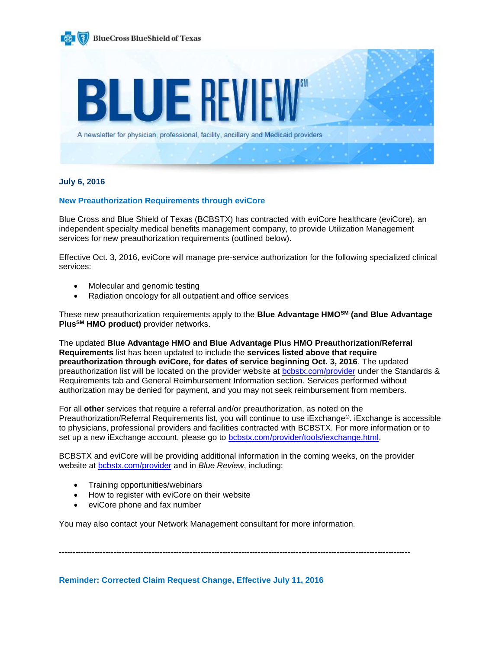

# **July 6, 2016**

# **New Preauthorization Requirements through eviCore**

Blue Cross and Blue Shield of Texas (BCBSTX) has contracted with eviCore healthcare (eviCore), an independent specialty medical benefits management company, to provide Utilization Management services for new preauthorization requirements (outlined below).

Effective Oct. 3, 2016, eviCore will manage pre-service authorization for the following specialized clinical services:

- Molecular and genomic testing
- Radiation oncology for all outpatient and office services

These new preauthorization requirements apply to the **Blue Advantage HMOSM (and Blue Advantage PlusSM HMO product)** provider networks.

The updated **Blue Advantage HMO and Blue Advantage Plus HMO Preauthorization/Referral Requirements** list has been updated to include the **services listed above that require preauthorization through eviCore, for dates of service beginning Oct. 3, 2016**. The updated preauthorization list will be located on the provider website at [bcbstx.com/provider](http://www.bcbstx.com/provider/gri/index.html) under the Standards & Requirements tab and General Reimbursement Information section. Services performed without authorization may be denied for payment, and you may not seek reimbursement from members.

For all **other** services that require a referral and/or preauthorization, as noted on the Preauthorization/Referral Requirements list, you will continue to use iExchange®. iExchange is accessible to physicians, professional providers and facilities contracted with BCBSTX. For more information or to set up a new iExchange account, please go to [bcbstx.com/provider/tools/iexchange.html](https://www.bcbstx.com/provider/tools/iexchange_index.html).

BCBSTX and eviCore will be providing additional information in the coming weeks, on the provider website at [bcbstx.com/provider](https://www.bcbstx.com/provider/) and in *Blue Review*, including:

**---------------------------------------------------------------------------------------------------------------------------------**

- Training opportunities/webinars
- How to register with eviCore on their website
- eviCore phone and fax number

You may also contact your Network Management consultant for more information.

**Reminder: Corrected Claim Request Change, Effective July 11, 2016**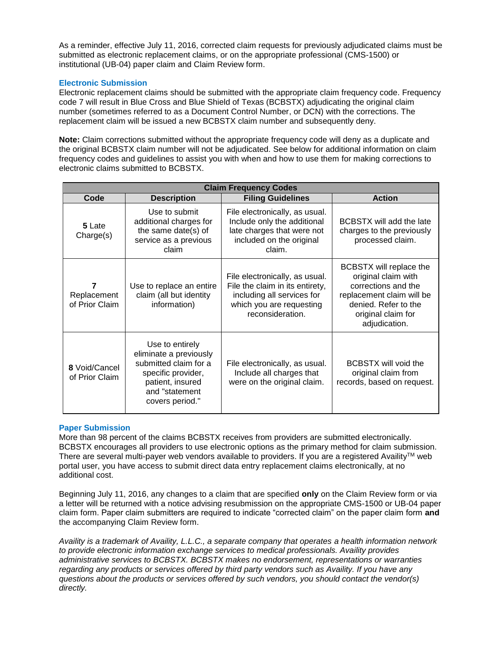As a reminder, effective July 11, 2016, corrected claim requests for previously adjudicated claims must be submitted as electronic replacement claims, or on the appropriate professional (CMS-1500) or institutional (UB-04) paper claim and Claim Review form.

# **Electronic Submission**

Electronic replacement claims should be submitted with the appropriate claim frequency code. Frequency code 7 will result in Blue Cross and Blue Shield of Texas (BCBSTX) adjudicating the original claim number (sometimes referred to as a Document Control Number, or DCN) with the corrections. The replacement claim will be issued a new BCBSTX claim number and subsequently deny.

**Note:** Claim corrections submitted without the appropriate frequency code will deny as a duplicate and the original BCBSTX claim number will not be adjudicated. See below for additional information on claim frequency codes and guidelines to assist you with when and how to use them for making corrections to electronic claims submitted to BCBSTX.

| <b>Claim Frequency Codes</b>       |                                                                                                                                                   |                                                                                                                                                 |                                                                                                                                                                   |  |  |
|------------------------------------|---------------------------------------------------------------------------------------------------------------------------------------------------|-------------------------------------------------------------------------------------------------------------------------------------------------|-------------------------------------------------------------------------------------------------------------------------------------------------------------------|--|--|
| Code                               | <b>Description</b>                                                                                                                                | <b>Filing Guidelines</b>                                                                                                                        | <b>Action</b>                                                                                                                                                     |  |  |
| 5 Late<br>Charge(s)                | Use to submit<br>additional charges for<br>the same date(s) of<br>service as a previous<br>claim                                                  | File electronically, as usual.<br>Include only the additional<br>late charges that were not<br>included on the original<br>claim.               | BCBSTX will add the late<br>charges to the previously<br>processed claim.                                                                                         |  |  |
| 7<br>Replacement<br>of Prior Claim | Use to replace an entire<br>claim (all but identity<br>information)                                                                               | File electronically, as usual.<br>File the claim in its entirety,<br>including all services for<br>which you are requesting<br>reconsideration. | BCBSTX will replace the<br>original claim with<br>corrections and the<br>replacement claim will be<br>denied. Refer to the<br>original claim for<br>adjudication. |  |  |
| 8 Void/Cancel<br>of Prior Claim    | Use to entirely<br>eliminate a previously<br>submitted claim for a<br>specific provider,<br>patient, insured<br>and "statement<br>covers period." | File electronically, as usual.<br>Include all charges that<br>were on the original claim.                                                       | <b>BCBSTX will void the</b><br>original claim from<br>records, based on request.                                                                                  |  |  |

# **Paper Submission**

More than 98 percent of the claims BCBSTX receives from providers are submitted electronically. BCBSTX encourages all providers to use electronic options as the primary method for claim submission. There are several multi-payer web vendors available to providers. If you are a registered Availity™ web portal user, you have access to submit direct data entry replacement claims electronically, at no additional cost.

Beginning July 11, 2016, any changes to a claim that are specified **only** on the Claim Review form or via a letter will be returned with a notice advising resubmission on the appropriate CMS-1500 or UB-04 paper claim form. Paper claim submitters are required to indicate "corrected claim" on the paper claim form **and** the accompanying Claim Review form.

*Availity is a trademark of Availity, L.L.C., a separate company that operates a health information network to provide electronic information exchange services to medical professionals. Availity provides administrative services to BCBSTX. BCBSTX makes no endorsement, representations or warranties regarding any products or services offered by third party vendors such as Availity. If you have any questions about the products or services offered by such vendors, you should contact the vendor(s) directly.*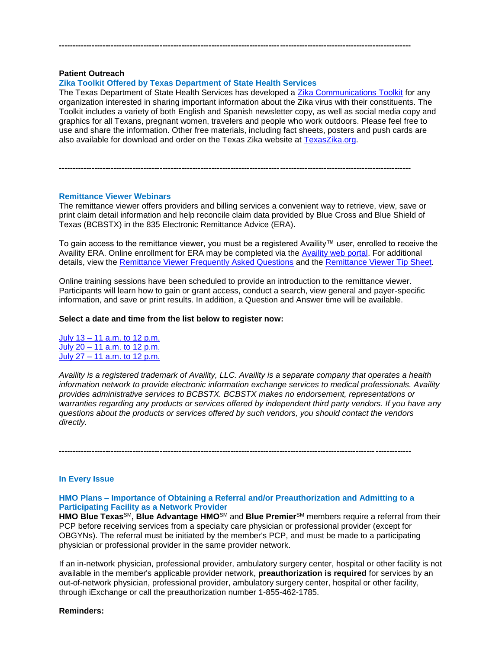## **Patient Outreach**

## **Zika Toolkit Offered by Texas Department of State Health Services**

The Texas Department of State Health Services has developed a [Zika Communications Toolkit](http://texaszika.org/materials.htm#toolkit) for any organization interested in sharing important information about the Zika virus with their constituents. The Toolkit includes a variety of both English and Spanish newsletter copy, as well as social media copy and graphics for all Texans, pregnant women, travelers and people who work outdoors. Please feel free to use and share the information. Other free materials, including fact sheets, posters and push cards are also available for download and order on the Texas Zika website at [TexasZika.org.](http://www.texaszika.org/)

**---------------------------------------------------------------------------------------------------------------------------------**

### **Remittance Viewer Webinars**

The remittance viewer offers providers and billing services a convenient way to retrieve, view, save or print claim detail information and help reconcile claim data provided by Blue Cross and Blue Shield of Texas (BCBSTX) in the 835 Electronic Remittance Advice (ERA).

**---------------------------------------------------------------------------------------------------------------------------------**

To gain access to the remittance viewer, you must be a registered Availity™ user, enrolled to receive the Availity ERA. Online enrollment for ERA may be completed via the [Availity web portal.](http://www.availity.com/) For additional details, view the [Remittance Viewer Frequently Asked Questions](http://www.bcbstx.com/provider/pdf/remittance_viewer_faqs.pdf) and the [Remittance Viewer Tip Sheet.](http://www.bcbstx.com/provider/pdf/remittance_viewer_tip_sheet.pdf)

Online training sessions have been scheduled to provide an introduction to the remittance viewer. Participants will learn how to gain or grant access, conduct a search, view general and payer-specific information, and save or print results. In addition, a Question and Answer time will be available.

### **Select a date and time from the list below to register now:**

July 13 – [11 a.m. to 12 p.m.](https://hcsc.webex.com/hcsc/j.php?RGID=r68f09b8275c4c9c1a8abc599d6313efc) July 20 – [11 a.m. to 12 p.m.](https://hcsc.webex.com/hcsc/j.php?RGID=r514e4a5859929948faa56a060ed7bd15) July 27 – [11 a.m. to 12 p.m.](https://hcsc.webex.com/hcsc/j.php?RGID=r6efd5f58dcc27755d75c626212bbc6be)

*Availity is a registered trademark of Availity, LLC. Availity is a separate company that operates a health information network to provide electronic information exchange services to medical professionals. Availity provides administrative services to BCBSTX. BCBSTX makes no endorsement, representations or warranties regarding any products or services offered by independent third party vendors. If you have any questions about the products or services offered by such vendors, you should contact the vendors directly.*

**---------------------------------------------------------------------------------------------------------------------------------**

## **In Every Issue**

## **HMO Plans – Importance of Obtaining a Referral and/or Preauthorization and Admitting to a Participating Facility as a Network Provider**

**HMO Blue Texas**SM**, Blue Advantage HMO**SM and **Blue Premier**SM members require a referral from their PCP before receiving services from a specialty care physician or professional provider (except for OBGYNs). The referral must be initiated by the member's PCP, and must be made to a participating physician or professional provider in the same provider network.

If an in-network physician, professional provider, ambulatory surgery center, hospital or other facility is not available in the member's applicable provider network, **preauthorization is required** for services by an out-of-network physician, professional provider, ambulatory surgery center, hospital or other facility, through iExchange or call the preauthorization number 1-855-462-1785.

**Reminders:**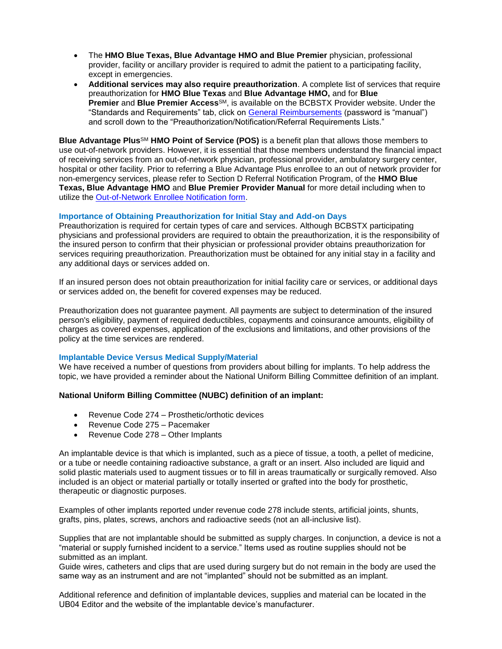- The **HMO Blue Texas, Blue Advantage HMO and Blue Premier** physician, professional provider, facility or ancillary provider is required to admit the patient to a participating facility, except in emergencies.
- **Additional services may also require preauthorization**. A complete list of services that require preauthorization for **HMO Blue Texas** and **Blue Advantage HMO,** and for **Blue Premier** and **Blue Premier Access**SM, is available on the BCBSTX Provider website. Under the "Standards and Requirements" tab, click on [General Reimbursements](http://www.pages02.net/hcscnosuppression/nlt_br_providers_june_2016_b_ok_060116_in_every_issue/LPT.url?kn=900466&vs=YTVjNjZjMzUtOGRhNi00MDUwLWI1MDAtYTg0NTI3M2JkZmUxOzA6ODk5OTgwMToyMjY0ODg5MjYwNzo5NDAwOTQyMjQ6OTQwMDk0MjI0OwS2) (password is "manual") and scroll down to the "Preauthorization/Notification/Referral Requirements Lists."

**Blue Advantage Plus**SM **HMO Point of Service (POS)** is a benefit plan that allows those members to use out-of-network providers. However, it is essential that those members understand the financial impact of receiving services from an out-of-network physician, professional provider, ambulatory surgery center, hospital or other facility. Prior to referring a Blue Advantage Plus enrollee to an out of network provider for non-emergency services, please refer to Section D Referral Notification Program, of the **HMO Blue Texas, Blue Advantage HMO** and **Blue Premier Provider Manual** for more detail including when to utilize the [Out-of-Network Enrollee Notification form.](http://www.pages02.net/hcscnosuppression/nlt_br_providers_june_2016_b_ok_060116_in_every_issue/LPT.url?kn=900467&vs=YTVjNjZjMzUtOGRhNi00MDUwLWI1MDAtYTg0NTI3M2JkZmUxOzA6ODk5OTgwMToyMjY0ODg5MjYwNzo5NDAwOTQyMjQ6OTQwMDk0MjI0OwS2)

# **Importance of Obtaining Preauthorization for Initial Stay and Add-on Days**

Preauthorization is required for certain types of care and services. Although BCBSTX participating physicians and professional providers are required to obtain the preauthorization, it is the responsibility of the insured person to confirm that their physician or professional provider obtains preauthorization for services requiring preauthorization. Preauthorization must be obtained for any initial stay in a facility and any additional days or services added on.

If an insured person does not obtain preauthorization for initial facility care or services, or additional days or services added on, the benefit for covered expenses may be reduced.

Preauthorization does not guarantee payment. All payments are subject to determination of the insured person's eligibility, payment of required deductibles, copayments and coinsurance amounts, eligibility of charges as covered expenses, application of the exclusions and limitations, and other provisions of the policy at the time services are rendered.

# **Implantable Device Versus Medical Supply/Material**

We have received a number of questions from providers about billing for implants. To help address the topic, we have provided a reminder about the National Uniform Billing Committee definition of an implant.

# **National Uniform Billing Committee (NUBC) definition of an implant:**

- Revenue Code 274 Prosthetic/orthotic devices
- Revenue Code 275 Pacemaker
- Revenue Code 278 Other Implants

An implantable device is that which is implanted, such as a piece of tissue, a tooth, a pellet of medicine, or a tube or needle containing radioactive substance, a graft or an insert. Also included are liquid and solid plastic materials used to augment tissues or to fill in areas traumatically or surgically removed. Also included is an object or material partially or totally inserted or grafted into the body for prosthetic, therapeutic or diagnostic purposes.

Examples of other implants reported under revenue code 278 include stents, artificial joints, shunts, grafts, pins, plates, screws, anchors and radioactive seeds (not an all-inclusive list).

Supplies that are not implantable should be submitted as supply charges. In conjunction, a device is not a "material or supply furnished incident to a service." Items used as routine supplies should not be submitted as an implant.

Guide wires, catheters and clips that are used during surgery but do not remain in the body are used the same way as an instrument and are not "implanted" should not be submitted as an implant.

Additional reference and definition of implantable devices, supplies and material can be located in the UB04 Editor and the website of the implantable device's manufacturer.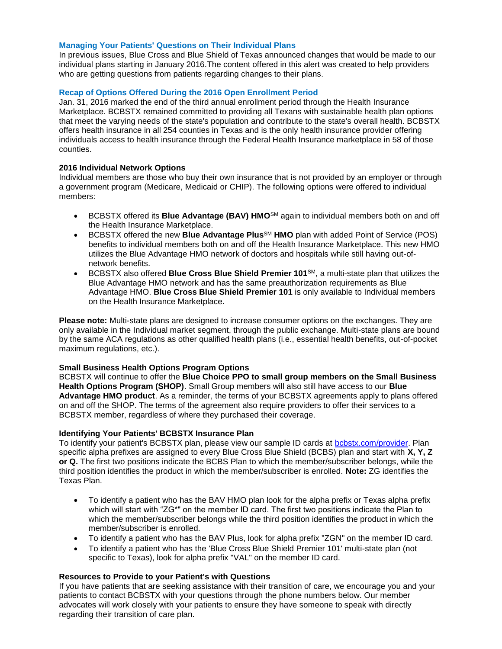## **Managing Your Patients' Questions on Their Individual Plans**

In previous issues, Blue Cross and Blue Shield of Texas announced changes that would be made to our individual plans starting in January 2016.The content offered in this alert was created to help providers who are getting questions from patients regarding changes to their plans.

# **Recap of Options Offered During the 2016 Open Enrollment Period**

Jan. 31, 2016 marked the end of the third annual enrollment period through the Health Insurance Marketplace. BCBSTX remained committed to providing all Texans with sustainable health plan options that meet the varying needs of the state's population and contribute to the state's overall health. BCBSTX offers health insurance in all 254 counties in Texas and is the only health insurance provider offering individuals access to health insurance through the Federal Health Insurance marketplace in 58 of those counties.

# **2016 Individual Network Options**

Individual members are those who buy their own insurance that is not provided by an employer or through a government program (Medicare, Medicaid or CHIP). The following options were offered to individual members:

- BCBSTX offered its **Blue Advantage (BAV) HMO**SM again to individual members both on and off the Health Insurance Marketplace.
- **•** BCBSTX offered the new **Blue Advantage Plus**<sup>SM</sup> HMO plan with added Point of Service (POS) benefits to individual members both on and off the Health Insurance Marketplace. This new HMO utilizes the Blue Advantage HMO network of doctors and hospitals while still having out-ofnetwork benefits.
- BCBSTX also offered **Blue Cross Blue Shield Premier 101**SM, a multi-state plan that utilizes the Blue Advantage HMO network and has the same preauthorization requirements as Blue Advantage HMO. **Blue Cross Blue Shield Premier 101** is only available to Individual members on the Health Insurance Marketplace[.](http://www.pages02.net/hcscnosuppression/nlt_br_providers_june_2016_b_ok_060116_in_every_issue/LPT.url?kn=900468&vs=YTVjNjZjMzUtOGRhNi00MDUwLWI1MDAtYTg0NTI3M2JkZmUxOzA6ODk5OTgwMToyMjY0ODg5MjYwNzo5NDAwOTQyMjQ6OTQwMDk0MjI0OwS2)

**Please note:** Multi-state plans are designed to increase consumer options on the exchanges. They are only available in the Individual market segment, through the public exchange. Multi-state plans are bound by the same ACA regulations as other qualified health plans (i.e., essential health benefits, out-of-pocket maximum regulations, etc.).

# **Small Business Health Options Program Options**

BCBSTX will continue to offer the **Blue Choice PPO to small group members on the Small Business Health Options Program (SHOP)**. Small Group members will also still have access to our **Blue Advantage HMO product**. As a reminder, the terms of your BCBSTX agreements apply to plans offered on and off the SHOP. The terms of the agreement also require providers to offer their services to a BCBSTX member, regardless of where they purchased their coverage.

### **Identifying Your Patients' BCBSTX Insurance Plan**

To identify your patient's BCBSTX plan, please view our sample ID cards at [bcbstx.com/provider.](http://www.pages02.net/hcscnosuppression/nlt_br_providers_june_2016_b_ok_060116_in_every_issue/LPT.url?kn=900469&vs=YTVjNjZjMzUtOGRhNi00MDUwLWI1MDAtYTg0NTI3M2JkZmUxOzA6ODk5OTgwMToyMjY0ODg5MjYwNzo5NDAwOTQyMjQ6OTQwMDk0MjI0OwS2) Plan specific alpha prefixes are assigned to every Blue Cross Blue Shield (BCBS) plan and start with **X, Y, Z or Q.** The first two positions indicate the BCBS Plan to which the member/subscriber belongs, while the third position identifies the product in which the member/subscriber is enrolled. **Note:** ZG identifies the Texas Plan.

- To identify a patient who has the BAV HMO plan look for the alpha prefix or Texas alpha prefix which will start with "ZG\*" on the member ID card. The first two positions indicate the Plan to which the member/subscriber belongs while the third position identifies the product in which the member/subscriber is enrolled.
- To identify a patient who has the BAV Plus, look for alpha prefix "ZGN" on the member ID card.
- To identify a patient who has the 'Blue Cross Blue Shield Premier 101' multi-state plan (not specific to Texas), look for alpha prefix "VAL" on the member ID card.

### **Resources to Provide to your Patient's with Questions**

If you have patients that are seeking assistance with their transition of care, we encourage you and your patients to contact BCBSTX with your questions through the phone numbers below. Our member advocates will work closely with your patients to ensure they have someone to speak with directly regarding their transition of care plan.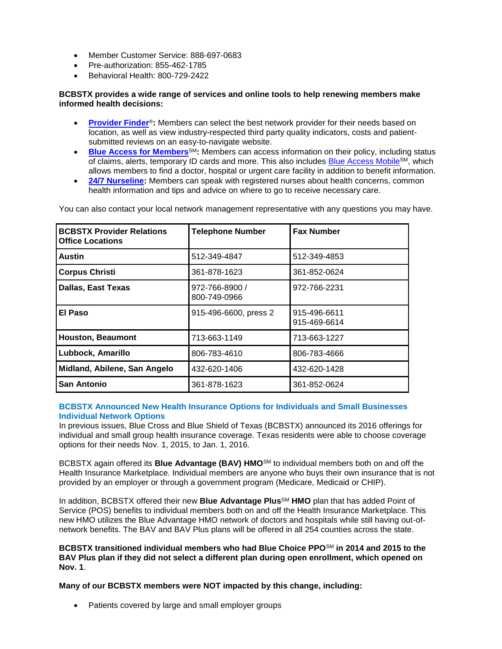- Member Customer Service: 888-697-0683
- Pre-authorization: 855-462-1785
- Behavioral Health: 800-729-2422

# **BCBSTX provides a wide range of services and online tools to help renewing members make informed health decisions:**

- **[Provider Finder](https://www.bcbstx.com/find-a-doctor-or-hospital)**®**:** Members can select the best network provider for their needs based on location, as well as view industry-respected third party quality indicators, costs and patientsubmitted reviews on an easy-to-navigate website.
- **[Blue Access for Members](http://www.bcbstx.com/member/)**<sup>SM</sup>: Members can access information on their policy, including status of claims, alerts, temporary ID cards and more. This also includes [Blue Access Mobile](http://www.bcbstx.com/mobile)SM, which allows members to find a doctor, hospital or urgent care facility in addition to benefit information.
- **[24/7 Nurseline:](https://www.bcbstx.com/pdf/nurseline_flier.pdf)** Members can speak with registered nurses about health concerns, common health information and tips and advice on where to go to receive necessary care.

| <b>BCBSTX Provider Relations</b><br><b>Office Locations</b> | <b>Telephone Number</b>        | <b>Fax Number</b>            |
|-------------------------------------------------------------|--------------------------------|------------------------------|
| Austin                                                      | 512-349-4847                   | 512-349-4853                 |
| <b>Corpus Christi</b>                                       | 361-878-1623                   | 361-852-0624                 |
| <b>Dallas, East Texas</b>                                   | 972-766-8900 /<br>800-749-0966 | 972-766-2231                 |
| El Paso                                                     | 915-496-6600, press 2          | 915-496-6611<br>915-469-6614 |
| <b>Houston, Beaumont</b>                                    | 713-663-1149                   | 713-663-1227                 |
| Lubbock, Amarillo                                           | 806-783-4610                   | 806-783-4666                 |
| Midland, Abilene, San Angelo                                | 432-620-1406                   | 432-620-1428                 |
| San Antonio                                                 | 361-878-1623                   | 361-852-0624                 |

You can also contact your local network management representative with any questions you may have.

# **BCBSTX Announced New Health Insurance Options for Individuals and Small Businesses Individual Network Options**

In previous issues, Blue Cross and Blue Shield of Texas (BCBSTX) announced its 2016 offerings for individual and small group health insurance coverage. Texas residents were able to choose coverage options for their needs Nov. 1, 2015, to Jan. 1, 2016.

BCBSTX again offered its **Blue Advantage (BAV) HMO**SM to individual members both on and off the Health Insurance Marketplace. Individual members are anyone who buys their own insurance that is not provided by an employer or through a government program (Medicare, Medicaid or CHIP).

In addition, BCBSTX offered their new **Blue Advantage Plus**<sup>SM</sup> HMO plan that has added Point of Service (POS) benefits to individual members both on and off the Health Insurance Marketplace. This new HMO utilizes the Blue Advantage HMO network of doctors and hospitals while still having out-ofnetwork benefits. The BAV and BAV Plus plans will be offered in all 254 counties across the state.

**BCBSTX transitioned individual members who had Blue Choice PPO**SM **in 2014 and 2015 to the BAV Plus plan if they did not select a different plan during open enrollment, which opened on Nov. 1**.

**Many of our BCBSTX members were NOT impacted by this change, including:**

• Patients covered by large and small employer groups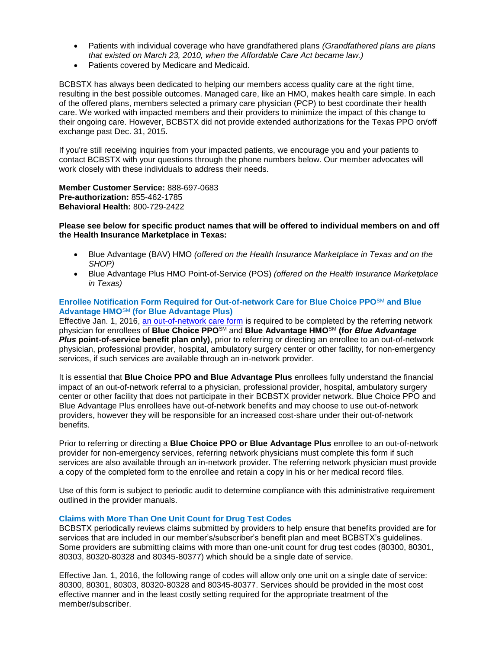- Patients with individual coverage who have grandfathered plans *(Grandfathered plans are plans that existed on March 23, 2010, when the Affordable Care Act became law.)*
- Patients covered by Medicare and Medicaid.

BCBSTX has always been dedicated to helping our members access quality care at the right time, resulting in the best possible outcomes. Managed care, like an HMO, makes health care simple. In each of the offered plans, members selected a primary care physician (PCP) to best coordinate their health care. We worked with impacted members and their providers to minimize the impact of this change to their ongoing care. However, BCBSTX did not provide extended authorizations for the Texas PPO on/off exchange past Dec. 31, 2015.

If you're still receiving inquiries from your impacted patients, we encourage you and your patients to contact BCBSTX with your questions through the phone numbers below. Our member advocates will work closely with these individuals to address their needs.

**Member Customer Service:** 888-697-0683 **Pre-authorization:** 855-462-1785 **Behavioral Health:** 800-729-2422

## **Please see below for specific product names that will be offered to individual members on and off the Health Insurance Marketplace in Texas:**

- Blue Advantage (BAV) HMO *(offered on the Health Insurance Marketplace in Texas and on the SHOP)*
- Blue Advantage Plus HMO Point-of-Service (POS) *(offered on the Health Insurance Marketplace in Texas)*

# **Enrollee Notification Form Required for Out-of-network Care for Blue Choice PPO**SM **and Blue Advantage HMO**SM **(for Blue Advantage Plus)**

Effective Jan. 1, 2016, [an out-of-network care form](https://www.bcbstx.com/provider/pdf/out-of-network-care-enrollee-notification-form.pdf) is required to be completed by the referring network physician for enrollees of **Blue Choice PPO**SM and **Blue Advantage HMO**SM **(for** *Blue Advantage Plus* **point-of-service benefit plan only)**, prior to referring or directing an enrollee to an out-of-network physician, professional provider, hospital, ambulatory surgery center or other facility, for non-emergency services, if such services are available through an in-network provider.

It is essential that **Blue Choice PPO and Blue Advantage Plus** enrollees fully understand the financial impact of an out-of-network referral to a physician, professional provider, hospital, ambulatory surgery center or other facility that does not participate in their BCBSTX provider network. Blue Choice PPO and Blue Advantage Plus enrollees have out-of-network benefits and may choose to use out-of-network providers, however they will be responsible for an increased cost-share under their out-of-network benefits.

Prior to referring or directing a **Blue Choice PPO or Blue Advantage Plus** enrollee to an out-of-network provider for non-emergency services, referring network physicians must complete this form if such services are also available through an in-network provider. The referring network physician must provide a copy of the completed form to the enrollee and retain a copy in his or her medical record files.

Use of this form is subject to periodic audit to determine compliance with this administrative requirement outlined in the provider manuals.

# **Claims with More Than One Unit Count for Drug Test Codes**

BCBSTX periodically reviews claims submitted by providers to help ensure that benefits provided are for services that are included in our member's/subscriber's benefit plan and meet BCBSTX's guidelines. Some providers are submitting claims with more than one-unit count for drug test codes (80300, 80301, 80303, 80320-80328 and 80345-80377) which should be a single date of service.

Effective Jan. 1, 2016, the following range of codes will allow only one unit on a single date of service: 80300, 80301, 80303, 80320-80328 and 80345-80377. Services should be provided in the most cost effective manner and in the least costly setting required for the appropriate treatment of the member/subscriber.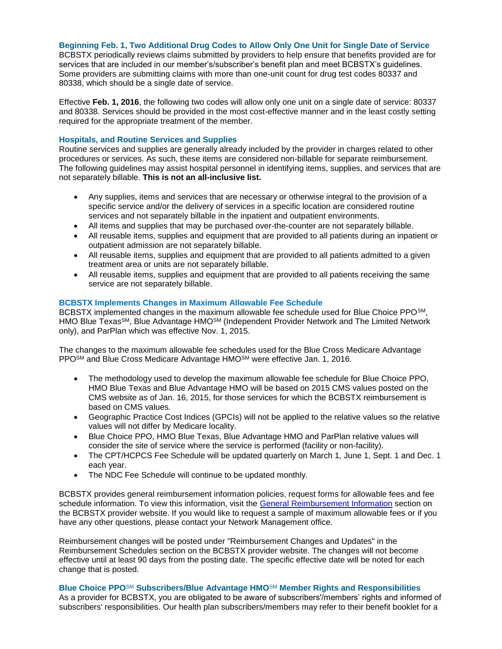# **Beginning Feb. 1, Two Additional Drug Codes to Allow Only One Unit for Single Date of Service**

BCBSTX periodically reviews claims submitted by providers to help ensure that benefits provided are for services that are included in our member's/subscriber's benefit plan and meet BCBSTX's guidelines. Some providers are submitting claims with more than one-unit count for drug test codes 80337 and 80338, which should be a single date of service.

Effective **Feb. 1, 2016**, the following two codes will allow only one unit on a single date of service: 80337 and 80338. Services should be provided in the most cost-effective manner and in the least costly setting required for the appropriate treatment of the member.

## **Hospitals, and Routine Services and Supplies**

Routine services and supplies are generally already included by the provider in charges related to other procedures or services. As such, these items are considered non-billable for separate reimbursement. The following guidelines may assist hospital personnel in identifying items, supplies, and services that are not separately billable. **This is not an all-inclusive list.**

- Any supplies, items and services that are necessary or otherwise integral to the provision of a specific service and/or the delivery of services in a specific location are considered routine services and not separately billable in the inpatient and outpatient environments.
- All items and supplies that may be purchased over-the-counter are not separately billable.
- All reusable items, supplies and equipment that are provided to all patients during an inpatient or outpatient admission are not separately billable.
- All reusable items, supplies and equipment that are provided to all patients admitted to a given treatment area or units are not separately billable.
- All reusable items, supplies and equipment that are provided to all patients receiving the same service are not separately billable.

# **BCBSTX Implements Changes in Maximum Allowable Fee Schedule**

BCBSTX implemented changes in the maximum allowable fee schedule used for Blue Choice PPO<sup>SM</sup>, HMO Blue Texas<sup>SM</sup>, Blue Advantage HMO<sup>SM</sup> (Independent Provider Network and The Limited Network only), and ParPlan which was effective Nov. 1, 2015.

The changes to the maximum allowable fee schedules used for the Blue Cross Medicare Advantage PPO<sup>SM</sup> and Blue Cross Medicare Advantage HMO<sup>SM</sup> were effective Jan. 1, 2016.

- The methodology used to develop the maximum allowable fee schedule for Blue Choice PPO, HMO Blue Texas and Blue Advantage HMO will be based on 2015 CMS values posted on the CMS website as of Jan. 16, 2015, for those services for which the BCBSTX reimbursement is based on CMS values.
- Geographic Practice Cost Indices (GPCIs) will not be applied to the relative values so the relative values will not differ by Medicare locality.
- Blue Choice PPO, HMO Blue Texas, Blue Advantage HMO and ParPlan relative values will consider the site of service where the service is performed (facility or non-facility).
- The CPT/HCPCS Fee Schedule will be updated quarterly on March 1, June 1, Sept. 1 and Dec. 1 each year.
- The NDC Fee Schedule will continue to be updated monthly.

BCBSTX provides general reimbursement information policies, request forms for allowable fees and fee schedule information. To view this information, visit the [General Reimbursement Information](https://www.bcbstx.com/provider/gri/index.html) section on the BCBSTX provider website. If you would like to request a sample of maximum allowable fees or if you have any other questions, please contact your Network Management office.

Reimbursement changes will be posted under "Reimbursement Changes and Updates" in the Reimbursement Schedules section on the BCBSTX provider website. The changes will not become effective until at least 90 days from the posting date. The specific effective date will be noted for each change that is posted.

# **Blue Choice PPO**SM **Subscribers/Blue Advantage HMO**SM **Member Rights and Responsibilities**

As a provider for BCBSTX, you are obligated to be aware of subscribers'/members' rights and informed of subscribers' responsibilities. Our health plan subscribers/members may refer to their benefit booklet for a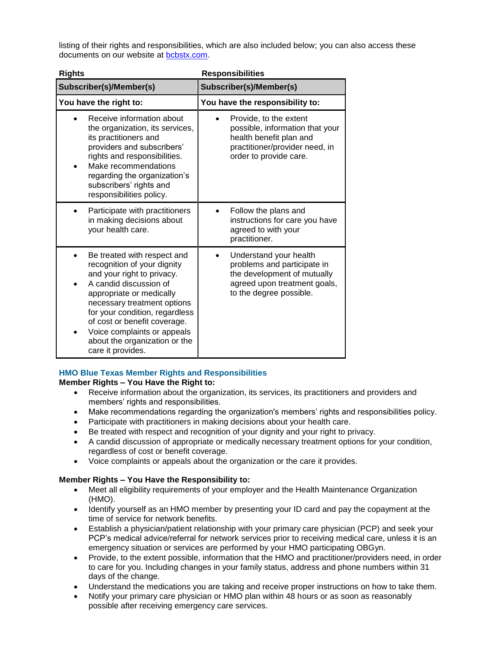listing of their rights and responsibilities, which are also included below; you can also access these documents on our website at [bcbstx.com](https://www.bcbstx.com/).

| <b>Rights</b>                                                                                                                                                                                                                                                                                                                                     | <b>Responsibilities</b>                                                                                                                          |  |
|---------------------------------------------------------------------------------------------------------------------------------------------------------------------------------------------------------------------------------------------------------------------------------------------------------------------------------------------------|--------------------------------------------------------------------------------------------------------------------------------------------------|--|
| Subscriber(s)/Member(s)                                                                                                                                                                                                                                                                                                                           | Subscriber(s)/Member(s)                                                                                                                          |  |
| You have the right to:                                                                                                                                                                                                                                                                                                                            | You have the responsibility to:                                                                                                                  |  |
| Receive information about<br>the organization, its services,<br>its practitioners and<br>providers and subscribers'<br>rights and responsibilities.<br>Make recommendations<br>regarding the organization's<br>subscribers' rights and<br>responsibilities policy.                                                                                | Provide, to the extent<br>possible, information that your<br>health benefit plan and<br>practitioner/provider need, in<br>order to provide care. |  |
| Participate with practitioners<br>in making decisions about<br>your health care.                                                                                                                                                                                                                                                                  | Follow the plans and<br>instructions for care you have<br>agreed to with your<br>practitioner.                                                   |  |
| Be treated with respect and<br>$\bullet$<br>recognition of your dignity<br>and your right to privacy.<br>A candid discussion of<br>appropriate or medically<br>necessary treatment options<br>for your condition, regardless<br>of cost or benefit coverage.<br>Voice complaints or appeals<br>about the organization or the<br>care it provides. | Understand your health<br>problems and participate in<br>the development of mutually<br>agreed upon treatment goals,<br>to the degree possible.  |  |

# **HMO Blue Texas Member Rights and Responsibilities**

# **Member Rights – You Have the Right to:**

- Receive information about the organization, its services, its practitioners and providers and members' rights and responsibilities.
- Make recommendations regarding the organization's members' rights and responsibilities policy.
- Participate with practitioners in making decisions about your health care.
- Be treated with respect and recognition of your dignity and your right to privacy.
- A candid discussion of appropriate or medically necessary treatment options for your condition, regardless of cost or benefit coverage.
- Voice complaints or appeals about the organization or the care it provides.

# **Member Rights – You Have the Responsibility to:**

- Meet all eligibility requirements of your employer and the Health Maintenance Organization (HMO).
- Identify yourself as an HMO member by presenting your ID card and pay the copayment at the time of service for network benefits.
- Establish a physician/patient relationship with your primary care physician (PCP) and seek your PCP's medical advice/referral for network services prior to receiving medical care, unless it is an emergency situation or services are performed by your HMO participating OBGyn.
- Provide, to the extent possible, information that the HMO and practitioner/providers need, in order to care for you. Including changes in your family status, address and phone numbers within 31 days of the change.
- Understand the medications you are taking and receive proper instructions on how to take them.
- Notify your primary care physician or HMO plan within 48 hours or as soon as reasonably possible after receiving emergency care services.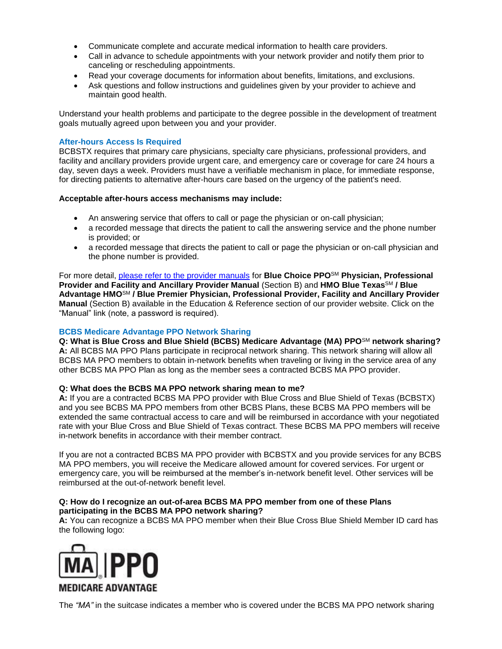- Communicate complete and accurate medical information to health care providers.
- Call in advance to schedule appointments with your network provider and notify them prior to canceling or rescheduling appointments.
- Read your coverage documents for information about benefits, limitations, and exclusions.
- Ask questions and follow instructions and guidelines given by your provider to achieve and maintain good health.

Understand your health problems and participate to the degree possible in the development of treatment goals mutually agreed upon between you and your provider.

# **After-hours Access Is Required**

BCBSTX requires that primary care physicians, specialty care physicians, professional providers, and facility and ancillary providers provide urgent care, and emergency care or coverage for care 24 hours a day, seven days a week. Providers must have a verifiable mechanism in place, for immediate response, for directing patients to alternative after-hours care based on the urgency of the patient's need.

# **Acceptable after-hours access mechanisms may include:**

- An answering service that offers to call or page the physician or on-call physician;
- a recorded message that directs the patient to call the answering service and the phone number is provided; or
- a recorded message that directs the patient to call or page the physician or on-call physician and the phone number is provided.

For more detail, [please refer to the provider manuals](http://www.pages02.net/hcscnosuppression/nlt_br_providers_june_2016_b_ok_060116_in_every_issue/LPT.url?kn=900476&vs=YTVjNjZjMzUtOGRhNi00MDUwLWI1MDAtYTg0NTI3M2JkZmUxOzA6ODk5OTgwMToyMjY0ODg5MjYwNzo5NDAwOTQyMjQ6OTQwMDk0MjI0OwS2) for **Blue Choice PPO**SM **Physician, Professional Provider and Facility and Ancillary Provider Manual** (Section B) and **HMO Blue Texas**SM **/ Blue Advantage HMO**SM **/ Blue Premier Physician, Professional Provider, Facility and Ancillary Provider Manual** (Section B) available in the Education & Reference section of our provider website. Click on the "Manual" link (note, a password is required).

# **BCBS Medicare Advantage PPO Network Sharing**

**Q: What is Blue Cross and Blue Shield (BCBS) Medicare Advantage (MA) PPO**SM **network sharing? A:** All BCBS MA PPO Plans participate in reciprocal network sharing. This network sharing will allow all BCBS MA PPO members to obtain in-network benefits when traveling or living in the service area of any other BCBS MA PPO Plan as long as the member sees a contracted BCBS MA PPO provider.

# **Q: What does the BCBS MA PPO network sharing mean to me?**

**A:** If you are a contracted BCBS MA PPO provider with Blue Cross and Blue Shield of Texas (BCBSTX) and you see BCBS MA PPO members from other BCBS Plans, these BCBS MA PPO members will be extended the same contractual access to care and will be reimbursed in accordance with your negotiated rate with your Blue Cross and Blue Shield of Texas contract. These BCBS MA PPO members will receive in-network benefits in accordance with their member contract.

If you are not a contracted BCBS MA PPO provider with BCBSTX and you provide services for any BCBS MA PPO members, you will receive the Medicare allowed amount for covered services. For urgent or emergency care, you will be reimbursed at the member's in-network benefit level. Other services will be reimbursed at the out-of-network benefit level.

# **Q: How do I recognize an out-of-area BCBS MA PPO member from one of these Plans participating in the BCBS MA PPO network sharing?**

**A:** You can recognize a BCBS MA PPO member when their Blue Cross Blue Shield Member ID card has the following logo:



The *"MA"* in the suitcase indicates a member who is covered under the BCBS MA PPO network sharing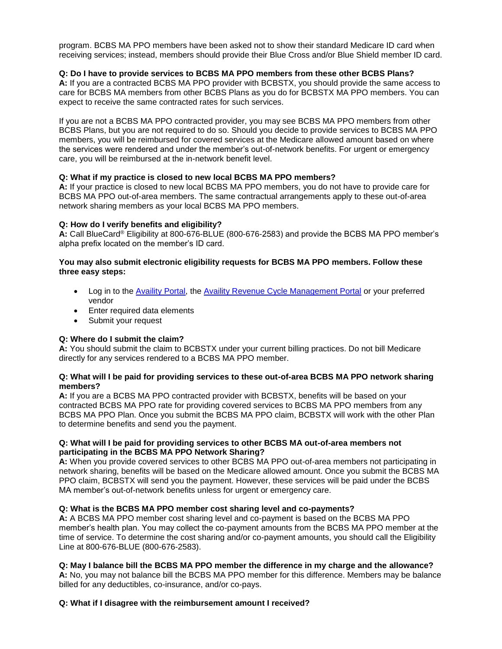program. BCBS MA PPO members have been asked not to show their standard Medicare ID card when receiving services; instead, members should provide their Blue Cross and/or Blue Shield member ID card.

# **Q: Do I have to provide services to BCBS MA PPO members from these other BCBS Plans?**

**A:** If you are a contracted BCBS MA PPO provider with BCBSTX, you should provide the same access to care for BCBS MA members from other BCBS Plans as you do for BCBSTX MA PPO members. You can expect to receive the same contracted rates for such services.

If you are not a BCBS MA PPO contracted provider, you may see BCBS MA PPO members from other BCBS Plans, but you are not required to do so. Should you decide to provide services to BCBS MA PPO members, you will be reimbursed for covered services at the Medicare allowed amount based on where the services were rendered and under the member's out-of-network benefits. For urgent or emergency care, you will be reimbursed at the in-network benefit level.

# **Q: What if my practice is closed to new local BCBS MA PPO members?**

**A:** If your practice is closed to new local BCBS MA PPO members, you do not have to provide care for BCBS MA PPO out-of-area members. The same contractual arrangements apply to these out-of-area network sharing members as your local BCBS MA PPO members.

# **Q: How do I verify benefits and eligibility?**

**A:** Call BlueCard® Eligibility at 800-676-BLUE (800-676-2583) and provide the BCBS MA PPO member's alpha prefix located on the member's ID card.

# **You may also submit electronic eligibility requests for BCBS MA PPO members. Follow these three easy steps:**

- Log in to the [Availity Portal](https://www.availity.com/), the [Availity Revenue Cycle Management Portal](https://claims.realmed.com/MainFrameset.htm) or your preferred vendor
- Enter required data elements
- Submit your request

# **Q: Where do I submit the claim?**

**A:** You should submit the claim to BCBSTX under your current billing practices. Do not bill Medicare directly for any services rendered to a BCBS MA PPO member.

# **Q: What will I be paid for providing services to these out-of-area BCBS MA PPO network sharing members?**

**A:** If you are a BCBS MA PPO contracted provider with BCBSTX, benefits will be based on your contracted BCBS MA PPO rate for providing covered services to BCBS MA PPO members from any BCBS MA PPO Plan. Once you submit the BCBS MA PPO claim, BCBSTX will work with the other Plan to determine benefits and send you the payment.

# **Q: What will I be paid for providing services to other BCBS MA out-of-area members not participating in the BCBS MA PPO Network Sharing?**

**A:** When you provide covered services to other BCBS MA PPO out-of-area members not participating in network sharing, benefits will be based on the Medicare allowed amount. Once you submit the BCBS MA PPO claim, BCBSTX will send you the payment. However, these services will be paid under the BCBS MA member's out-of-network benefits unless for urgent or emergency care.

# **Q: What is the BCBS MA PPO member cost sharing level and co-payments?**

**A:** A BCBS MA PPO member cost sharing level and co-payment is based on the BCBS MA PPO member's health plan. You may collect the co-payment amounts from the BCBS MA PPO member at the time of service. To determine the cost sharing and/or co-payment amounts, you should call the Eligibility Line at 800-676-BLUE (800-676-2583).

# **Q: May I balance bill the BCBS MA PPO member the difference in my charge and the allowance?**

**A:** No, you may not balance bill the BCBS MA PPO member for this difference. Members may be balance billed for any deductibles, co-insurance, and/or co-pays.

# **Q: What if I disagree with the reimbursement amount I received?**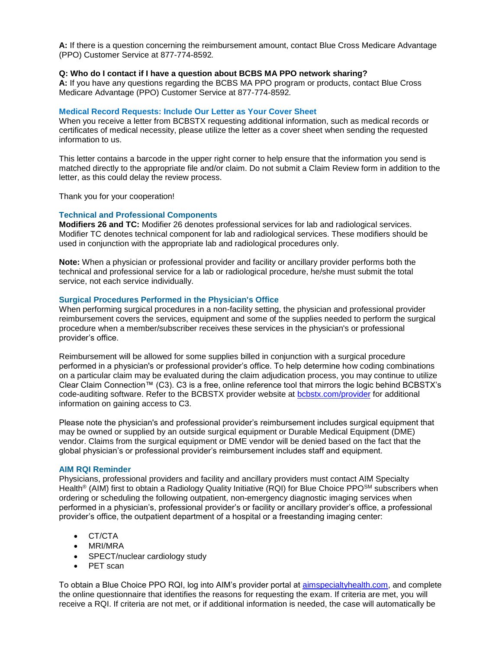**A:** If there is a question concerning the reimbursement amount, contact Blue Cross Medicare Advantage (PPO) Customer Service at 877-774-8592*.*

## **Q: Who do I contact if I have a question about BCBS MA PPO network sharing?**

**A:** If you have any questions regarding the BCBS MA PPO program or products, contact Blue Cross Medicare Advantage (PPO) Customer Service at 877-774-8592*.*

## **Medical Record Requests: Include Our Letter as Your Cover Sheet**

When you receive a letter from BCBSTX requesting additional information, such as medical records or certificates of medical necessity, please utilize the letter as a cover sheet when sending the requested information to us.

This letter contains a barcode in the upper right corner to help ensure that the information you send is matched directly to the appropriate file and/or claim. Do not submit a Claim Review form in addition to the letter, as this could delay the review process.

Thank you for your cooperation!

## **Technical and Professional Components**

**Modifiers 26 and TC:** Modifier 26 denotes professional services for lab and radiological services. Modifier TC denotes technical component for lab and radiological services. These modifiers should be used in conjunction with the appropriate lab and radiological procedures only.

**Note:** When a physician or professional provider and facility or ancillary provider performs both the technical and professional service for a lab or radiological procedure, he/she must submit the total service, not each service individually.

### **Surgical Procedures Performed in the Physician's Office**

When performing surgical procedures in a non-facility setting, the physician and professional provider reimbursement covers the services, equipment and some of the supplies needed to perform the surgical procedure when a member/subscriber receives these services in the physician's or professional provider's office.

Reimbursement will be allowed for some supplies billed in conjunction with a surgical procedure performed in a physician's or professional provider's office. To help determine how coding combinations on a particular claim may be evaluated during the claim adjudication process, you may continue to utilize Clear Claim Connection™ (C3). C3 is a free, online reference tool that mirrors the logic behind BCBSTX's code-auditing software. Refer to the BCBSTX provider website at [bcbstx.com/provider](https://www.bcbstx.com/provider/) for additional information on gaining access to C3.

Please note the physician's and professional provider's reimbursement includes surgical equipment that may be owned or supplied by an outside surgical equipment or Durable Medical Equipment (DME) vendor. Claims from the surgical equipment or DME vendor will be denied based on the fact that the global physician's or professional provider's reimbursement includes staff and equipment.

### **AIM RQI Reminder**

Physicians, professional providers and facility and ancillary providers must contact AIM Specialty Health<sup>®</sup> (AIM) first to obtain a Radiology Quality Initiative (RQI) for Blue Choice PPO<sup>SM</sup> subscribers when ordering or scheduling the following outpatient, non-emergency diagnostic imaging services when performed in a physician's, professional provider's or facility or ancillary provider's office, a professional provider's office, the outpatient department of a hospital or a freestanding imaging center:

- CT/CTA
- MRI/MRA
- SPECT/nuclear cardiology study
- PET scan

To obtain a Blue Choice PPO RQI, log into AIM's provider portal at [aimspecialtyhealth.com](http://www.aimspecialtyhealth.com/), and complete the online questionnaire that identifies the reasons for requesting the exam. If criteria are met, you will receive a RQI. If criteria are not met, or if additional information is needed, the case will automatically be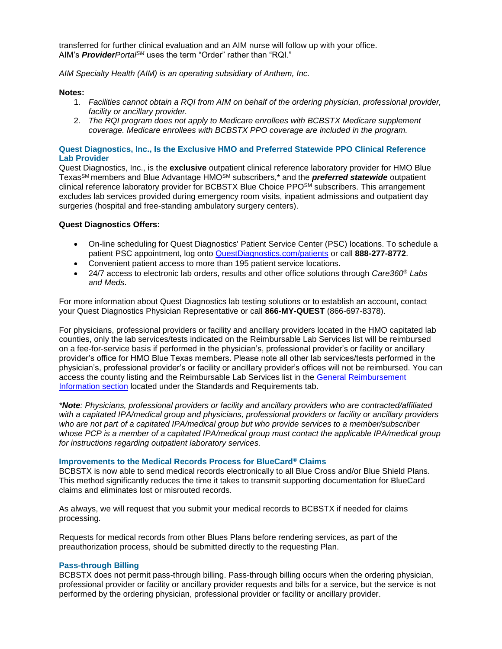transferred for further clinical evaluation and an AIM nurse will follow up with your office. AIM's *ProviderPortalSM* uses the term "Order" rather than "RQI."

*AIM Specialty Health (AIM) is an operating subsidiary of Anthem, Inc.*

## **Notes:**

- 1. *Facilities cannot obtain a RQI from AIM on behalf of the ordering physician, professional provider, facility or ancillary provider.*
- 2. *The RQI program does not apply to Medicare enrollees with BCBSTX Medicare supplement coverage. Medicare enrollees with BCBSTX PPO coverage are included in the program.*

# **Quest Diagnostics, Inc., Is the Exclusive HMO and Preferred Statewide PPO Clinical Reference Lab Provider**

Quest Diagnostics, Inc., is the **exclusive** outpatient clinical reference laboratory provider for HMO Blue TexasSM members and Blue Advantage HMOSM subscribers,\* and the *preferred statewide* outpatient clinical reference laboratory provider for BCBSTX Blue Choice PPO<sup>SM</sup> subscribers. This arrangement excludes lab services provided during emergency room visits, inpatient admissions and outpatient day surgeries (hospital and free-standing ambulatory surgery centers).

## **Quest Diagnostics Offers:**

- On-line scheduling for Quest Diagnostics' Patient Service Center (PSC) locations. To schedule a patient PSC appointment, log onto [QuestDiagnostics.com/patients](http://www.questdiagnostics.com/home/patients) or call **888-277-8772**.
- Convenient patient access to more than 195 patient service locations.
- 24/7 access to electronic lab orders, results and other office solutions through *Care360® Labs and Meds*.

For more information about Quest Diagnostics lab testing solutions or to establish an account, contact your Quest Diagnostics Physician Representative or call **866-MY-QUEST** (866-697-8378).

For physicians, professional providers or facility and ancillary providers located in the HMO capitated lab counties, only the lab services/tests indicated on the Reimbursable Lab Services list will be reimbursed on a fee-for-service basis if performed in the physician's, professional provider's or facility or ancillary provider's office for HMO Blue Texas members. Please note all other lab services/tests performed in the physician's, professional provider's or facility or ancillary provider's offices will not be reimbursed. You can [access the county listing and the Reimbursable Lab Services list in the](https://www.bcbstx.com/provider/gri/index.html) General Reimbursement Information section located under the Standards and Requirements tab.

*\*Note: Physicians, professional providers or facility and ancillary providers who are contracted/affiliated* with a capitated IPA/medical group and physicians, professional providers or facility or ancillary providers *who are not part of a capitated IPA/medical group but who provide services to a member/subscriber whose PCP is a member of a capitated IPA/medical group must contact the applicable IPA/medical group for instructions regarding outpatient laboratory services.*

### **Improvements to the Medical Records Process for BlueCard® Claims**

BCBSTX is now able to send medical records electronically to all Blue Cross and/or Blue Shield Plans. This method significantly reduces the time it takes to transmit supporting documentation for BlueCard claims and eliminates lost or misrouted records.

As always, we will request that you submit your medical records to BCBSTX if needed for claims processing.

Requests for medical records from other Blues Plans before rendering services, as part of the preauthorization process, should be submitted directly to the requesting Plan.

## **Pass-through Billing**

BCBSTX does not permit pass-through billing. Pass-through billing occurs when the ordering physician, professional provider or facility or ancillary provider requests and bills for a service, but the service is not performed by the ordering physician, professional provider or facility or ancillary provider.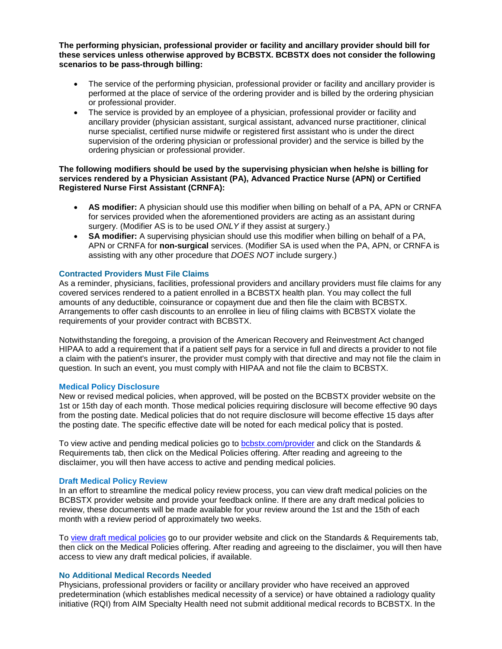**The performing physician, professional provider or facility and ancillary provider should bill for these services unless otherwise approved by BCBSTX. BCBSTX does not consider the following scenarios to be pass-through billing:**

- The service of the performing physician, professional provider or facility and ancillary provider is performed at the place of service of the ordering provider and is billed by the ordering physician or professional provider.
- The service is provided by an employee of a physician, professional provider or facility and ancillary provider (physician assistant, surgical assistant, advanced nurse practitioner, clinical nurse specialist, certified nurse midwife or registered first assistant who is under the direct supervision of the ordering physician or professional provider) and the service is billed by the ordering physician or professional provider.

## **The following modifiers should be used by the supervising physician when he/she is billing for services rendered by a Physician Assistant (PA), Advanced Practice Nurse (APN) or Certified Registered Nurse First Assistant (CRNFA):**

- **AS modifier:** A physician should use this modifier when billing on behalf of a PA, APN or CRNFA for services provided when the aforementioned providers are acting as an assistant during surgery. (Modifier AS is to be used *ONLY* if they assist at surgery.)
- **SA modifier:** A supervising physician should use this modifier when billing on behalf of a PA, APN or CRNFA for **non-surgical** services. (Modifier SA is used when the PA, APN, or CRNFA is assisting with any other procedure that *DOES NOT* include surgery.)

## **Contracted Providers Must File Claims**

As a reminder, physicians, facilities, professional providers and ancillary providers must file claims for any covered services rendered to a patient enrolled in a BCBSTX health plan. You may collect the full amounts of any deductible, coinsurance or copayment due and then file the claim with BCBSTX. Arrangements to offer cash discounts to an enrollee in lieu of filing claims with BCBSTX violate the requirements of your provider contract with BCBSTX.

Notwithstanding the foregoing, a provision of the American Recovery and Reinvestment Act changed HIPAA to add a requirement that if a patient self pays for a service in full and directs a provider to not file a claim with the patient's insurer, the provider must comply with that directive and may not file the claim in question. In such an event, you must comply with HIPAA and not file the claim to BCBSTX.

### **Medical Policy Disclosure**

New or revised medical policies, when approved, will be posted on the BCBSTX provider website on the 1st or 15th day of each month. Those medical policies requiring disclosure will become effective 90 days from the posting date. Medical policies that do not require disclosure will become effective 15 days after the posting date. The specific effective date will be noted for each medical policy that is posted.

To view active and pending medical policies go to [bcbstx.com/provider](http://www.medicalpolicy.hcsc.net/medicalpolicy/disclaimer?corpEntCd=TX1) and click on the Standards & Requirements tab, then click on the Medical Policies offering. After reading and agreeing to the disclaimer, you will then have access to active and pending medical policies.

### **Draft Medical Policy Review**

In an effort to streamline the medical policy review process, you can view draft medical policies on the BCBSTX provider website and provide your feedback online. If there are any draft medical policies to review, these documents will be made available for your review around the 1st and the 15th of each month with a review period of approximately two weeks.

To [view draft medical policies](http://www.pages02.net/hcscnosuppression/nlt_br_providers_june_2016_b_ok_060116_in_every_issue/LPT.url?kn=900484&vs=YTVjNjZjMzUtOGRhNi00MDUwLWI1MDAtYTg0NTI3M2JkZmUxOzA6ODk5OTgwMToyMjY0ODg5MjYwNzo5NDAwOTQyMjQ6OTQwMDk0MjI0OwS2) go to our provider website and click on the Standards & Requirements tab, then click on the Medical Policies offering. After reading and agreeing to the disclaimer, you will then have access to view any draft medical policies, if available.

### **No Additional Medical Records Needed**

Physicians, professional providers or facility or ancillary provider who have received an approved predetermination (which establishes medical necessity of a service) or have obtained a radiology quality initiative (RQI) from AIM Specialty Health need not submit additional medical records to BCBSTX. In the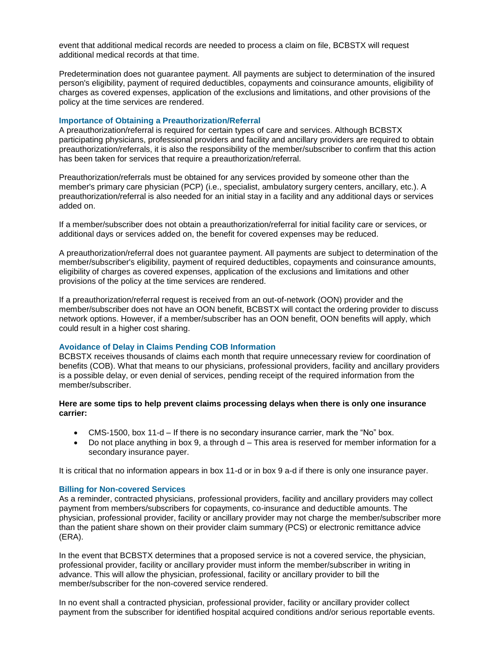event that additional medical records are needed to process a claim on file, BCBSTX will request additional medical records at that time.

Predetermination does not guarantee payment. All payments are subject to determination of the insured person's eligibility, payment of required deductibles, copayments and coinsurance amounts, eligibility of charges as covered expenses, application of the exclusions and limitations, and other provisions of the policy at the time services are rendered.

## **Importance of Obtaining a Preauthorization/Referral**

A preauthorization/referral is required for certain types of care and services. Although BCBSTX participating physicians, professional providers and facility and ancillary providers are required to obtain preauthorization/referrals, it is also the responsibility of the member/subscriber to confirm that this action has been taken for services that require a preauthorization/referral.

Preauthorization/referrals must be obtained for any services provided by someone other than the member's primary care physician (PCP) (i.e., specialist, ambulatory surgery centers, ancillary, etc.). A preauthorization/referral is also needed for an initial stay in a facility and any additional days or services added on.

If a member/subscriber does not obtain a preauthorization/referral for initial facility care or services, or additional days or services added on, the benefit for covered expenses may be reduced.

A preauthorization/referral does not guarantee payment. All payments are subject to determination of the member/subscriber's eligibility, payment of required deductibles, copayments and coinsurance amounts, eligibility of charges as covered expenses, application of the exclusions and limitations and other provisions of the policy at the time services are rendered.

If a preauthorization/referral request is received from an out-of-network (OON) provider and the member/subscriber does not have an OON benefit, BCBSTX will contact the ordering provider to discuss network options. However, if a member/subscriber has an OON benefit, OON benefits will apply, which could result in a higher cost sharing.

# **Avoidance of Delay in Claims Pending COB Information**

BCBSTX receives thousands of claims each month that require unnecessary review for coordination of benefits (COB). What that means to our physicians, professional providers, facility and ancillary providers is a possible delay, or even denial of services, pending receipt of the required information from the member/subscriber.

# **Here are some tips to help prevent claims processing delays when there is only one insurance carrier:**

- CMS-1500, box 11-d If there is no secondary insurance carrier, mark the "No" box.
- $\bullet$  Do not place anything in box 9, a through  $d This$  area is reserved for member information for a secondary insurance payer.

It is critical that no information appears in box 11-d or in box 9 a-d if there is only one insurance payer.

### **Billing for Non-covered Services**

As a reminder, contracted physicians, professional providers, facility and ancillary providers may collect payment from members/subscribers for copayments, co-insurance and deductible amounts. The physician, professional provider, facility or ancillary provider may not charge the member/subscriber more than the patient share shown on their provider claim summary (PCS) or electronic remittance advice (ERA).

In the event that BCBSTX determines that a proposed service is not a covered service, the physician, professional provider, facility or ancillary provider must inform the member/subscriber in writing in advance. This will allow the physician, professional, facility or ancillary provider to bill the member/subscriber for the non-covered service rendered.

In no event shall a contracted physician, professional provider, facility or ancillary provider collect payment from the subscriber for identified hospital acquired conditions and/or serious reportable events.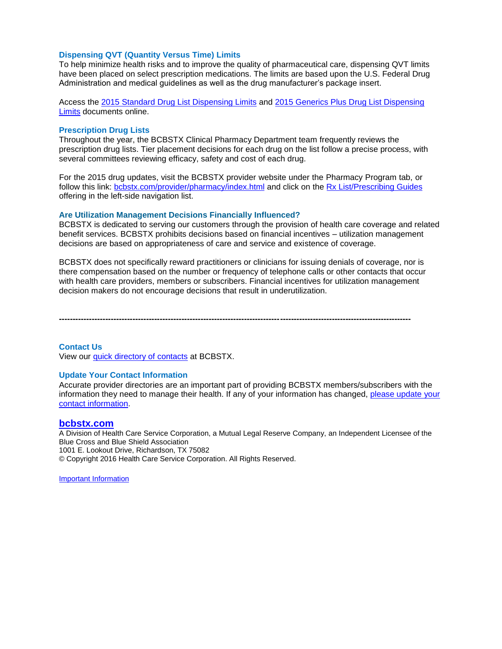## **Dispensing QVT (Quantity Versus Time) Limits**

To help minimize health risks and to improve the quality of pharmaceutical care, dispensing QVT limits have been placed on select prescription medications. The limits are based upon the U.S. Federal Drug Administration and medical guidelines as well as the drug manufacturer's package insert.

Access the [2015 Standard Drug List Dispensing Limits](https://www.bcbstx.com/pdf/rx/rx_dispensing_limits_std_tx.pdf) and [2015 Generics Plus Drug List Dispensing](https://www.bcbstx.com/pdf/rx/rx_dispensing_limits_gen_tx.pdf)  [Limits](https://www.bcbstx.com/pdf/rx/rx_dispensing_limits_gen_tx.pdf) documents online.

### **Prescription Drug Lists**

Throughout the year, the BCBSTX Clinical Pharmacy Department team frequently reviews the prescription drug lists. Tier placement decisions for each drug on the list follow a precise process, with several committees reviewing efficacy, safety and cost of each drug.

For the 2015 drug updates, visit the BCBSTX provider website under the Pharmacy Program tab, or follow this link: [bcbstx.com/provider/pharmacy/index.html](https://www.bcbstx.com/pdf/rx/rx_dispensing_limits_std_tx.pdf) and click on the [Rx List/Prescribing](https://www.bcbstx.com/provider/pharmacy/rx_list.html) Guides offering in the left-side navigation list.

#### **Are Utilization Management Decisions Financially Influenced?**

BCBSTX is dedicated to serving our customers through the provision of health care coverage and related benefit services. BCBSTX prohibits decisions based on financial incentives – utilization management decisions are based on appropriateness of care and service and existence of coverage.

BCBSTX does not specifically reward practitioners or clinicians for issuing denials of coverage, nor is there compensation based on the number or frequency of telephone calls or other contacts that occur with health care providers, members or subscribers. Financial incentives for utilization management decision makers do not encourage decisions that result in underutilization.

**---------------------------------------------------------------------------------------------------------------------------------**

### **Contact Us**

View our [quick directory of contacts](http://www.bcbstx.com/provider/contact_us.html) at BCBSTX.

#### **Update Your Contact Information**

Accurate provider directories are an important part of providing BCBSTX members/subscribers with the [information they need to manage their health. If any of your information has changed, please update your](https://www.bcbstx.com/forms/provider/update_info.html)  contact information.

#### **[bcbstx.com](http://www.bcbstx.com/provider/)**

A Division of Health Care Service Corporation, a Mutual Legal Reserve Company, an Independent Licensee of the Blue Cross and Blue Shield Association 1001 E. Lookout Drive, Richardson, TX 75082 © Copyright 2016 Health Care Service Corporation. All Rights Reserved.

[Important Information](#page-16-0)